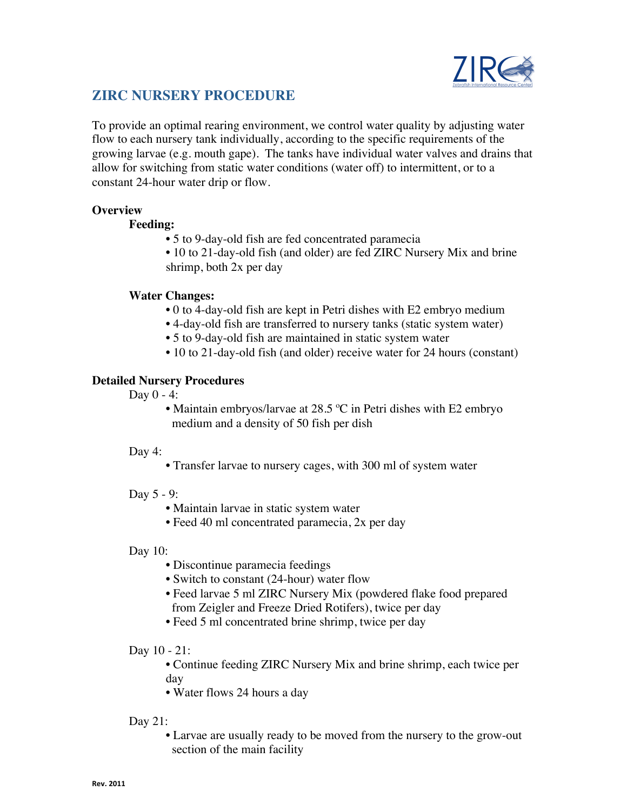

# **ZIRC NURSERY PROCEDURE**

To provide an optimal rearing environment, we control water quality by adjusting water flow to each nursery tank individually, according to the specific requirements of the growing larvae (e.g. mouth gape). The tanks have individual water valves and drains that allow for switching from static water conditions (water off) to intermittent, or to a constant 24-hour water drip or flow.

## **Overview**

## **Feeding:**

- 5 to 9-day-old fish are fed concentrated paramecia
- 10 to 21-day-old fish (and older) are fed ZIRC Nursery Mix and brine shrimp, both 2x per day

## **Water Changes:**

- 0 to 4-day-old fish are kept in Petri dishes with E2 embryo medium
- 4-day-old fish are transferred to nursery tanks (static system water)
- 5 to 9-day-old fish are maintained in static system water
- 10 to 21-day-old fish (and older) receive water for 24 hours (constant)

# **Detailed Nursery Procedures**

Day  $0 - 4$ :

• Maintain embryos/larvae at 28.5 °C in Petri dishes with E2 embryo medium and a density of 50 fish per dish

#### Day 4:

• Transfer larvae to nursery cages, with 300 ml of system water

#### Day 5 - 9:

- Maintain larvae in static system water
- Feed 40 ml concentrated paramecia, 2x per day

#### Day 10:

- Discontinue paramecia feedings
- Switch to constant (24-hour) water flow
- Feed larvae 5 ml ZIRC Nursery Mix (powdered flake food prepared from Zeigler and Freeze Dried Rotifers), twice per day
- Feed 5 ml concentrated brine shrimp, twice per day

#### Day 10 - 21:

• Continue feeding ZIRC Nursery Mix and brine shrimp, each twice per day

• Water flows 24 hours a day

# Day 21:

• Larvae are usually ready to be moved from the nursery to the grow-out section of the main facility